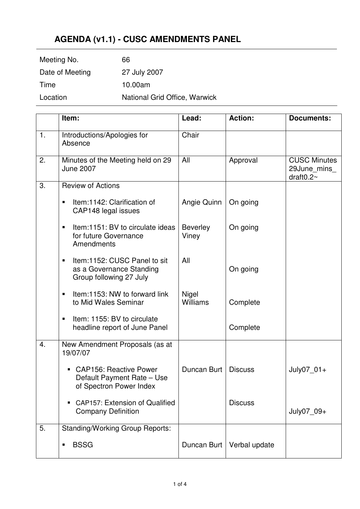## **AGENDA (v1.1) - CUSC AMENDMENTS PANEL**

| Location        | National Grid Office, Warwick |
|-----------------|-------------------------------|
| Time            | 10.00am                       |
| Date of Meeting | 27 July 2007                  |
| Meeting No.     | 66                            |

|    | Item:                                                                                     | Lead:                    | <b>Action:</b> | <b>Documents:</b>                                          |
|----|-------------------------------------------------------------------------------------------|--------------------------|----------------|------------------------------------------------------------|
| 1. | Introductions/Apologies for<br>Absence                                                    | Chair                    |                |                                                            |
| 2. | Minutes of the Meeting held on 29<br><b>June 2007</b>                                     | All                      | Approval       | <b>CUSC Minutes</b><br>29June_mins_<br>draft $0.2\text{-}$ |
| 3. | <b>Review of Actions</b>                                                                  |                          |                |                                                            |
|    | Item:1142: Clarification of<br>٠<br>CAP148 legal issues                                   | Angie Quinn              | On going       |                                                            |
|    | Item:1151: BV to circulate ideas<br>$\blacksquare$<br>for future Governance<br>Amendments | <b>Beverley</b><br>Viney | On going       |                                                            |
|    | Item:1152: CUSC Panel to sit<br>as a Governance Standing<br>Group following 27 July       | All                      | On going       |                                                            |
|    | Item:1153: NW to forward link<br>to Mid Wales Seminar                                     | Nigel<br><b>Williams</b> | Complete       |                                                            |
|    | Item: 1155: BV to circulate<br>headline report of June Panel                              |                          | Complete       |                                                            |
| 4. | New Amendment Proposals (as at<br>19/07/07                                                |                          |                |                                                            |
|    | <b>CAP156: Reactive Power</b><br>Default Payment Rate - Use<br>of Spectron Power Index    | Duncan Burt              | <b>Discuss</b> | July07_01+                                                 |
|    | <b>CAP157: Extension of Qualified</b><br><b>Company Definition</b>                        |                          | <b>Discuss</b> | July07 09+                                                 |
| 5. | <b>Standing/Working Group Reports:</b>                                                    |                          |                |                                                            |
|    | <b>BSSG</b>                                                                               | Duncan Burt              | Verbal update  |                                                            |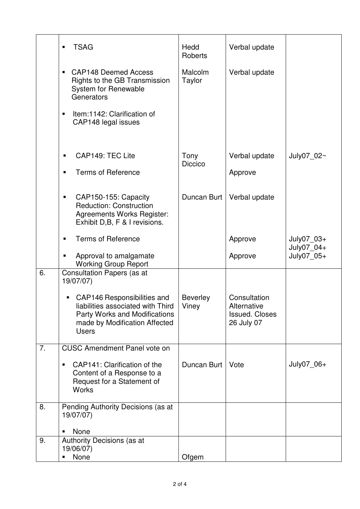|    | <b>TSAG</b><br>$\blacksquare$                                                                                                                             | Hedd<br><b>Roberts</b>   | Verbal update                                                      |                          |
|----|-----------------------------------------------------------------------------------------------------------------------------------------------------------|--------------------------|--------------------------------------------------------------------|--------------------------|
|    | <b>CAP148 Deemed Access</b><br>$\blacksquare$<br>Rights to the GB Transmission<br><b>System for Renewable</b><br>Generators                               | Malcolm<br>Taylor        | Verbal update                                                      |                          |
|    | Item:1142: Clarification of<br>$\blacksquare$<br>CAP148 legal issues                                                                                      |                          |                                                                    |                          |
|    | CAP149: TEC Lite                                                                                                                                          | Tony<br><b>Diccico</b>   | Verbal update                                                      | July07 02~               |
|    | <b>Terms of Reference</b>                                                                                                                                 |                          | Approve                                                            |                          |
|    | CAP150-155: Capacity<br>п<br><b>Reduction: Construction</b><br><b>Agreements Works Register:</b><br>Exhibit D,B, F & I revisions.                         | Duncan Burt              | Verbal update                                                      |                          |
|    | <b>Terms of Reference</b>                                                                                                                                 |                          | Approve                                                            | July07_03+<br>July07_04+ |
|    | Approval to amalgamate<br><b>Working Group Report</b>                                                                                                     |                          | Approve                                                            | July07_05+               |
| 6. | <b>Consultation Papers (as at</b><br>19/07/07)                                                                                                            |                          |                                                                    |                          |
|    | CAP146 Responsibilities and<br>liabilities associated with Third<br><b>Party Works and Modifications</b><br>made by Modification Affected<br><b>Users</b> | <b>Beverley</b><br>Viney | Consultation<br>Alternative<br><b>Issued. Closes</b><br>26 July 07 |                          |
| 7. | <b>CUSC Amendment Panel vote on</b>                                                                                                                       |                          |                                                                    |                          |
|    | CAP141: Clarification of the<br>$\blacksquare$<br>Content of a Response to a<br>Request for a Statement of<br><b>Works</b>                                | Duncan Burt              | Vote                                                               | July07 06+               |
| 8. | Pending Authority Decisions (as at<br>19/07/07)                                                                                                           |                          |                                                                    |                          |
|    | None<br>Ξ                                                                                                                                                 |                          |                                                                    |                          |
| 9. | Authority Decisions (as at<br>19/06/07)                                                                                                                   |                          |                                                                    |                          |
|    | None                                                                                                                                                      | Ofgem                    |                                                                    |                          |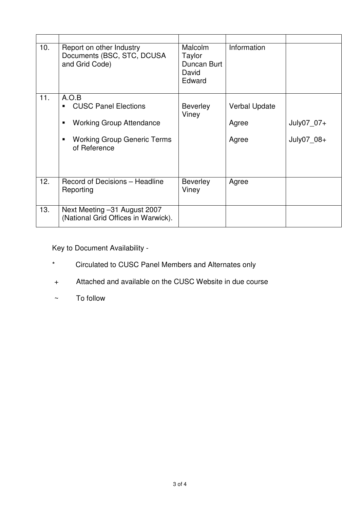| 10. | Report on other Industry<br>Documents (BSC, STC, DCUSA<br>and Grid Code)                                                      | <b>Malcolm</b><br>Taylor<br>Duncan Burt<br>David<br>Edward | Information                     |                          |
|-----|-------------------------------------------------------------------------------------------------------------------------------|------------------------------------------------------------|---------------------------------|--------------------------|
| 11. | A.O.B<br><b>CUSC Panel Elections</b><br><b>Working Group Attendance</b><br><b>Working Group Generic Terms</b><br>of Reference | <b>Beverley</b><br>Viney                                   | Verbal Update<br>Agree<br>Agree | July07_07+<br>July07 08+ |
| 12. | Record of Decisions - Headline<br>Reporting                                                                                   | <b>Beverley</b><br>Viney                                   | Agree                           |                          |
| 13. | Next Meeting -31 August 2007<br>(National Grid Offices in Warwick).                                                           |                                                            |                                 |                          |

Key to Document Availability -

- \* Circulated to CUSC Panel Members and Alternates only
- + Attached and available on the CUSC Website in due course
- ~ To follow